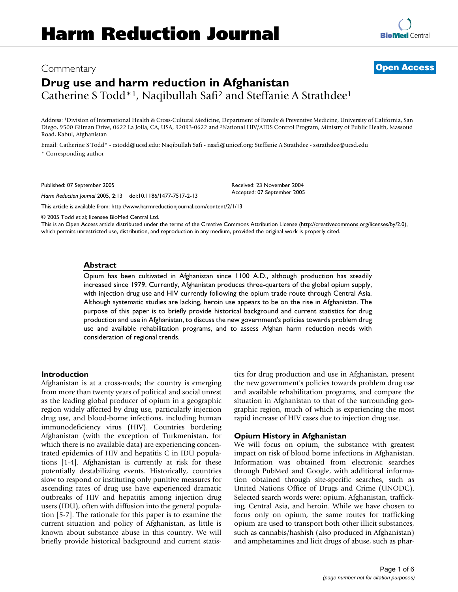# Commentary **[Open Access](http://www.biomedcentral.com/info/about/charter/)**

# **Drug use and harm reduction in Afghanistan** Catherine S Todd\*1, Naqibullah Safi2 and Steffanie A Strathdee1

Address: 1Division of International Health & Cross-Cultural Medicine, Department of Family & Preventive Medicine, University of California, San Diego, 9500 Gilman Drive, 0622 La Jolla, CA, USA, 92093-0622 and 2National HIV/AIDS Control Program, Ministry of Public Health, Massoud Road, Kabul, Afghanistan

Email: Catherine S Todd\* - cstodd@ucsd.edu; Naqibullah Safi - nsafi@unicef.org; Steffanie A Strathdee - sstrathdee@ucsd.edu \* Corresponding author

Published: 07 September 2005

*Harm Reduction Journal* 2005, **2**:13 doi:10.1186/1477-7517-2-13

[This article is available from: http://www.harmreductionjournal.com/content/2/1/13](http://www.harmreductionjournal.com/content/2/1/13)

© 2005 Todd et al; licensee BioMed Central Ltd.

This is an Open Access article distributed under the terms of the Creative Commons Attribution License [\(http://creativecommons.org/licenses/by/2.0\)](http://creativecommons.org/licenses/by/2.0), which permits unrestricted use, distribution, and reproduction in any medium, provided the original work is properly cited.

#### **Abstract**

Opium has been cultivated in Afghanistan since 1100 A.D., although production has steadily increased since 1979. Currently, Afghanistan produces three-quarters of the global opium supply, with injection drug use and HIV currently following the opium trade route through Central Asia. Although systematic studies are lacking, heroin use appears to be on the rise in Afghanistan. The purpose of this paper is to briefly provide historical background and current statistics for drug production and use in Afghanistan, to discuss the new government's policies towards problem drug use and available rehabilitation programs, and to assess Afghan harm reduction needs with consideration of regional trends.

#### **Introduction**

Afghanistan is at a cross-roads; the country is emerging from more than twenty years of political and social unrest as the leading global producer of opium in a geographic region widely affected by drug use, particularly injection drug use, and blood-borne infections, including human immunodeficiency virus (HIV). Countries bordering Afghanistan (with the exception of Turkmenistan, for which there is no available data) are experiencing concentrated epidemics of HIV and hepatitis C in IDU populations [1-4]. Afghanistan is currently at risk for these potentially destabilizing events. Historically, countries slow to respond or instituting only punitive measures for ascending rates of drug use have experienced dramatic outbreaks of HIV and hepatitis among injection drug users (IDU), often with diffusion into the general population [5-7]. The rationale for this paper is to examine the current situation and policy of Afghanistan, as little is known about substance abuse in this country. We will briefly provide historical background and current statistics for drug production and use in Afghanistan, present the new government's policies towards problem drug use and available rehabilitation programs, and compare the situation in Afghanistan to that of the surrounding geographic region, much of which is experiencing the most rapid increase of HIV cases due to injection drug use.

#### **Opium History in Afghanistan**

We will focus on opium, the substance with greatest impact on risk of blood borne infections in Afghanistan. Information was obtained from electronic searches through PubMed and Google, with additional information obtained through site-specific searches, such as United Nations Office of Drugs and Crime (UNODC). Selected search words were: opium, Afghanistan, trafficking, Central Asia, and heroin. While we have chosen to focus only on opium, the same routes for trafficking opium are used to transport both other illicit substances, such as cannabis/hashish (also produced in Afghanistan) and amphetamines and licit drugs of abuse, such as phar-



Accepted: 07 September 2005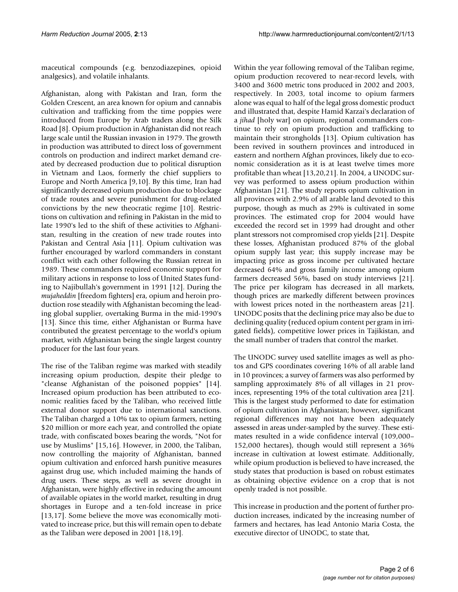maceutical compounds (e.g. benzodiazepines, opioid analgesics), and volatile inhalants.

Afghanistan, along with Pakistan and Iran, form the Golden Crescent, an area known for opium and cannabis cultivation and trafficking from the time poppies were introduced from Europe by Arab traders along the Silk Road [8]. Opium production in Afghanistan did not reach large scale until the Russian invasion in 1979. The growth in production was attributed to direct loss of government controls on production and indirect market demand created by decreased production due to political disruption in Vietnam and Laos, formerly the chief suppliers to Europe and North America [9,10]. By this time, Iran had significantly decreased opium production due to blockage of trade routes and severe punishment for drug-related convictions by the new theocratic regime [10]. Restrictions on cultivation and refining in Pakistan in the mid to late 1990's led to the shift of these activities to Afghanistan, resulting in the creation of new trade routes into Pakistan and Central Asia [11]. Opium cultivation was further encouraged by warlord commanders in constant conflict with each other following the Russian retreat in 1989. These commanders required economic support for military actions in response to loss of United States funding to Najibullah's government in 1991 [12]. During the *mujaheddin* [freedom fighters] era, opium and heroin production rose steadily with Afghanistan becoming the leading global supplier, overtaking Burma in the mid-1990's [13]. Since this time, either Afghanistan or Burma have contributed the greatest percentage to the world's opium market, with Afghanistan being the single largest country producer for the last four years.

The rise of the Taliban regime was marked with steadily increasing opium production, despite their pledge to "cleanse Afghanistan of the poisoned poppies" [14]. Increased opium production has been attributed to economic realities faced by the Taliban, who received little external donor support due to international sanctions. The Taliban charged a 10% tax to opium farmers, netting \$20 million or more each year, and controlled the opiate trade, with confiscated boxes bearing the words, "Not for use by Muslims" [15,16]. However, in 2000, the Taliban, now controlling the majority of Afghanistan, banned opium cultivation and enforced harsh punitive measures against drug use, which included maiming the hands of drug users. These steps, as well as severe drought in Afghanistan, were highly effective in reducing the amount of available opiates in the world market, resulting in drug shortages in Europe and a ten-fold increase in price [13,17]. Some believe the move was economically motivated to increase price, but this will remain open to debate as the Taliban were deposed in 2001 [18,19].

Within the year following removal of the Taliban regime, opium production recovered to near-record levels, with 3400 and 3600 metric tons produced in 2002 and 2003, respectively. In 2003, total income to opium farmers alone was equal to half of the legal gross domestic product and illustrated that, despite Hamid Karzai's declaration of a *jihad* [holy war] on opium, regional commanders continue to rely on opium production and trafficking to maintain their strongholds [13]. Opium cultivation has been revived in southern provinces and introduced in eastern and northern Afghan provinces, likely due to economic consideration as it is at least twelve times more profitable than wheat [13,20,21]. In 2004, a UNODC survey was performed to assess opium production within Afghanistan [21]. The study reports opium cultivation in all provinces with 2.9% of all arable land devoted to this purpose, though as much as 29% is cultivated in some provinces. The estimated crop for 2004 would have exceeded the record set in 1999 had drought and other plant stressors not compromised crop yields [21]. Despite these losses, Afghanistan produced 87% of the global opium supply last year; this supply increase may be impacting price as gross income per cultivated hectare decreased 64% and gross family income among opium farmers decreased 56%, based on study interviews [21]. The price per kilogram has decreased in all markets, though prices are markedly different between provinces with lowest prices noted in the northeastern areas [21]. UNODC posits that the declining price may also be due to declining quality (reduced opium content per gram in irrigated fields), competitive lower prices in Tajikistan, and the small number of traders that control the market.

The UNODC survey used satellite images as well as photos and GPS coordinates covering 16% of all arable land in 10 provinces; a survey of farmers was also performed by sampling approximately 8% of all villages in 21 provinces, representing 19% of the total cultivation area [21]. This is the largest study performed to date for estimation of opium cultivation in Afghanistan; however, significant regional differences may not have been adequately assessed in areas under-sampled by the survey. These estimates resulted in a wide confidence interval (109,000– 152,000 hectares), though would still represent a 36% increase in cultivation at lowest estimate. Additionally, while opium production is believed to have increased, the study states that production is based on robust estimates as obtaining objective evidence on a crop that is not openly traded is not possible.

This increase in production and the portent of further production increases, indicated by the increasing number of farmers and hectares, has lead Antonio Maria Costa, the executive director of UNODC, to state that,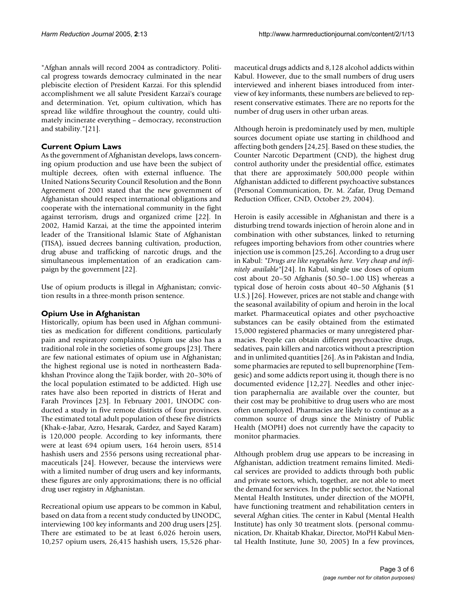"Afghan annals will record 2004 as contradictory. Political progress towards democracy culminated in the near plebiscite election of President Karzai. For this splendid accomplishment we all salute President Karzai's courage and determination. Yet, opium cultivation, which has spread like wildfire throughout the country, could ultimately incinerate everything – democracy, reconstruction and stability."[21].

## **Current Opium Laws**

As the government of Afghanistan develops, laws concerning opium production and use have been the subject of multiple decrees, often with external influence. The United Nations Security Council Resolution and the Bonn Agreement of 2001 stated that the new government of Afghanistan should respect international obligations and cooperate with the international community in the fight against terrorism, drugs and organized crime [22]. In 2002, Hamid Karzai, at the time the appointed interim leader of the Transitional Islamic State of Afghanistan (TISA), issued decrees banning cultivation, production, drug abuse and trafficking of narcotic drugs, and the simultaneous implementation of an eradication campaign by the government [22].

Use of opium products is illegal in Afghanistan; conviction results in a three-month prison sentence.

#### **Opium Use in Afghanistan**

Historically, opium has been used in Afghan communities as medication for different conditions, particularly pain and respiratory complaints. Opium use also has a traditional role in the societies of some groups [23]. There are few national estimates of opium use in Afghanistan; the highest regional use is noted in northeastern Badakhshan Province along the Tajik border, with 20–30% of the local population estimated to be addicted. High use rates have also been reported in districts of Herat and Farah Provinces [23]. In February 2001, UNODC conducted a study in five remote districts of four provinces. The estimated total adult population of these five districts (Khak-e-Jabar, Azro, Hesarak, Gardez, and Sayed Karam) is 120,000 people. According to key informants, there were at least 694 opium users, 164 heroin users, 8514 hashish users and 2556 persons using recreational pharmaceuticals [24]. However, because the interviews were with a limited number of drug users and key informants, these figures are only approximations; there is no official drug user registry in Afghanistan.

Recreational opium use appears to be common in Kabul, based on data from a recent study conducted by UNODC, interviewing 100 key informants and 200 drug users [25]. There are estimated to be at least 6,026 heroin users, 10,257 opium users, 26,415 hashish users, 15,526 pharmaceutical drugs addicts and 8,128 alcohol addicts within Kabul. However, due to the small numbers of drug users interviewed and inherent biases introduced from interview of key informants, these numbers are believed to represent conservative estimates. There are no reports for the number of drug users in other urban areas.

Although heroin is predominately used by men, multiple sources document opiate use starting in childhood and affecting both genders [24,25]. Based on these studies, the Counter Narcotic Department (CND), the highest drug control authority under the presidential office, estimates that there are approximately 500,000 people within Afghanistan addicted to different psychoactive substances (Personal Communication, Dr. M. Zafar, Drug Demand Reduction Officer, CND, October 29, 2004).

Heroin is easily accessible in Afghanistan and there is a disturbing trend towards injection of heroin alone and in combination with other substances, linked to returning refugees importing behaviors from other countries where injection use is common [25,26]. According to a drug user in Kabul: *"Drugs are like vegetables here. Very cheap and infinitely available"*[24]. In Kabul, single use doses of opium cost about 20–50 Afghanis (\$0.50–1.00 US) whereas a typical dose of heroin costs about 40–50 Afghanis (\$1 U.S.) [26]. However, prices are not stable and change with the seasonal availability of opium and heroin in the local market. Pharmaceutical opiates and other psychoactive substances can be easily obtained from the estimated 15,000 registered pharmacies or many unregistered pharmacies. People can obtain different psychoactive drugs, sedatives, pain killers and narcotics without a prescription and in unlimited quantities [26]. As in Pakistan and India, some pharmacies are reputed to sell buprenorphine (Temgesic) and some addicts report using it, though there is no documented evidence [12,27]. Needles and other injection paraphernalia are available over the counter, but their cost may be prohibitive to drug users who are most often unemployed. Pharmacies are likely to continue as a common source of drugs since the Ministry of Public Health (MOPH) does not currently have the capacity to monitor pharmacies.

Although problem drug use appears to be increasing in Afghanistan, addiction treatment remains limited. Medical services are provided to addicts through both public and private sectors, which, together, are not able to meet the demand for services. In the public sector, the National Mental Health Institutes, under direction of the MOPH, have functioning treatment and rehabilitation centers in several Afghan cities. The center in Kabul (Mental Health Institute) has only 30 treatment slots. (personal communication, Dr. Khaitab Khakar, Director, MoPH Kabul Mental Health Institute, June 30, 2005) In a few provinces,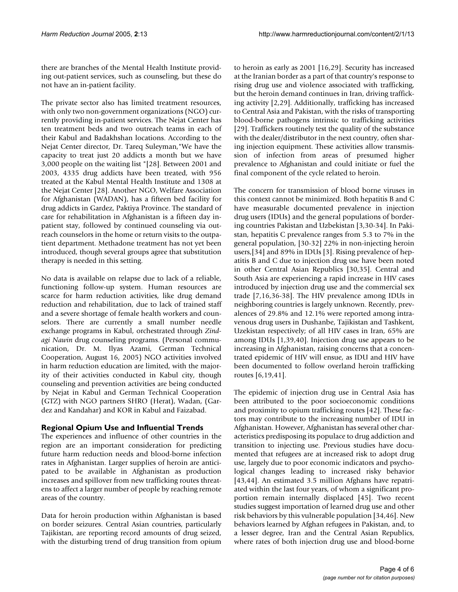there are branches of the Mental Health Institute providing out-patient services, such as counseling, but these do not have an in-patient facility.

The private sector also has limited treatment resources, with only two non-government organizations (NGO) currently providing in-patient services. The Nejat Center has ten treatment beds and two outreach teams in each of their Kabul and Badakhshan locations. According to the Nejat Center director, Dr. Tareq Suleyman,"We have the capacity to treat just 20 addicts a month but we have 3,000 people on the waiting list "[28]. Between 2001 and 2003, 4335 drug addicts have been treated, with 956 treated at the Kabul Mental Health Institute and 1308 at the Nejat Center [28]. Another NGO, Welfare Association for Afghanistan (WADAN), has a fifteen bed facility for drug addicts in Gardez, Paktiya Province. The standard of care for rehabilitation in Afghanistan is a fifteen day inpatient stay, followed by continued counseling via outreach counselors in the home or return visits to the outpatient department. Methadone treatment has not yet been introduced, though several groups agree that substitution therapy is needed in this setting.

No data is available on relapse due to lack of a reliable, functioning follow-up system. Human resources are scarce for harm reduction activities, like drug demand reduction and rehabilitation, due to lack of trained staff and a severe shortage of female health workers and counselors. There are currently a small number needle exchange programs in Kabul, orchestrated through *Zindagi Nawin* drug counseling programs. (Personal communication, Dr. M. Ilyas Azami, German Technical Cooperation, August 16, 2005) NGO activities involved in harm reduction education are limited, with the majority of their activities conducted in Kabul city, though counseling and prevention activities are being conducted by Nejat in Kabul and German Technical Cooperation (GTZ) with NGO partners SHRO (Herat), Wadan, (Gardez and Kandahar) and KOR in Kabul and Faizabad.

# **Regional Opium Use and Influential Trends**

The experiences and influence of other countries in the region are an important consideration for predicting future harm reduction needs and blood-borne infection rates in Afghanistan. Larger supplies of heroin are anticipated to be available in Afghanistan as production increases and spillover from new trafficking routes threatens to affect a larger number of people by reaching remote areas of the country.

Data for heroin production within Afghanistan is based on border seizures. Central Asian countries, particularly Tajikistan, are reporting record amounts of drug seized, with the disturbing trend of drug transition from opium

to heroin as early as 2001 [16,29]. Security has increased at the Iranian border as a part of that country's response to rising drug use and violence associated with trafficking, but the heroin demand continues in Iran, driving trafficking activity [2,29]. Additionally, trafficking has increased to Central Asia and Pakistan, with the risks of transporting blood-borne pathogens intrinsic to trafficking activities [29]. Traffickers routinely test the quality of the substance with the dealer/distributor in the next country, often sharing injection equipment. These activities allow transmission of infection from areas of presumed higher prevalence to Afghanistan and could initiate or fuel the final component of the cycle related to heroin.

The concern for transmission of blood borne viruses in this context cannot be minimized. Both hepatitis B and C have measurable documented prevalence in injection drug users (IDUs) and the general populations of bordering countries Pakistan and Uzbekistan [3,30-34]. In Pakistan, hepatitis C prevalence ranges from 5.3 to 7% in the general population, [30-32] 22% in non-injecting heroin users,[34] and 89% in IDUs [3]. Rising prevalence of hepatitis B and C due to injection drug use have been noted in other Central Asian Republics [30,35]. Central and South Asia are experiencing a rapid increase in HIV cases introduced by injection drug use and the commercial sex trade [7,16,36-38]. The HIV prevalence among IDUs in neighboring countries is largely unknown. Recently, prevalences of 29.8% and 12.1% were reported among intravenous drug users in Dushanbe, Tajikistan and Tashkent, Uzekistan respectively; of all HIV cases in Iran, 65% are among IDUs [1,39,40]. Injection drug use appears to be increasing in Afghanistan, raising concerns that a concentrated epidemic of HIV will ensue, as IDU and HIV have been documented to follow overland heroin trafficking routes [6,19,41].

The epidemic of injection drug use in Central Asia has been attributed to the poor socioeconomic conditions and proximity to opium trafficking routes [42]. These factors may contribute to the increasing number of IDU in Afghanistan. However, Afghanistan has several other characteristics predisposing its populace to drug addiction and transition to injecting use. Previous studies have documented that refugees are at increased risk to adopt drug use, largely due to poor economic indicators and psychological changes leading to increased risky behavior [43,44]. An estimated 3.5 million Afghans have repatriated within the last four years, of whom a significant proportion remain internally displaced [45]. Two recent studies suggest importation of learned drug use and other risk behaviors by this vulnerable population [34,46]. New behaviors learned by Afghan refugees in Pakistan, and, to a lesser degree, Iran and the Central Asian Republics, where rates of both injection drug use and blood-borne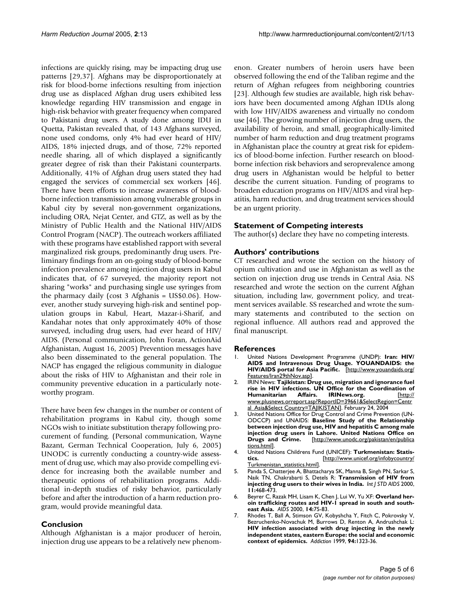infections are quickly rising, may be impacting drug use patterns [29,37]. Afghans may be disproportionately at risk for blood-borne infections resulting from injection drug use as displaced Afghan drug users exhibited less knowledge regarding HIV transmission and engage in high-risk behavior with greater frequency when compared to Pakistani drug users. A study done among IDU in Quetta, Pakistan revealed that, of 143 Afghans surveyed, none used condoms, only 4% had ever heard of HIV/ AIDS, 18% injected drugs, and of those, 72% reported needle sharing, all of which displayed a significantly greater degree of risk than their Pakistani counterparts. Additionally, 41% of Afghan drug users stated they had engaged the services of commercial sex workers [46]. There have been efforts to increase awareness of bloodborne infection transmission among vulnerable groups in Kabul city by several non-government organizations, including ORA, Nejat Center, and GTZ, as well as by the Ministry of Public Health and the National HIV/AIDS Control Program (NACP). The outreach workers affiliated with these programs have established rapport with several marginalized risk groups, predominantly drug users. Preliminary findings from an on-going study of blood-borne infection prevalence among injection drug users in Kabul indicates that, of 67 surveyed, the majority report not sharing "works" and purchasing single use syringes from the pharmacy daily (cost 3 Afghanis = US\$0.06). However, another study surveying high-risk and sentinel population groups in Kabul, Heart, Mazar-i-Sharif, and Kandahar notes that only approximately 40% of those surveyed, including drug users, had ever heard of HIV/ AIDS. (Personal communication, John Foran, ActionAid Afghanistan, August 16, 2005) Prevention messages have also been disseminated to the general population. The NACP has engaged the religious community in dialogue about the risks of HIV to Afghanistan and their role in community preventive education in a particularly noteworthy program.

There have been few changes in the number or content of rehabilitation programs in Kabul city, though some NGOs wish to initiate substitution therapy following procurement of funding. (Personal communication, Wayne Bazant, German Technical Cooperation, July 6, 2005) UNODC is currently conducting a country-wide assessment of drug use, which may also provide compelling evidence for increasing both the available number and therapeutic options of rehabilitation programs. Additional in-depth studies of risky behavior, particularly before and after the introduction of a harm reduction program, would provide meaningful data.

# **Conclusion**

Although Afghanistan is a major producer of heroin, injection drug use appears to be a relatively new phenomenon. Greater numbers of heroin users have been observed following the end of the Taliban regime and the return of Afghan refugees from neighboring countries [23]. Although few studies are available, high risk behaviors have been documented among Afghan IDUs along with low HIV/AIDS awareness and virtually no condom use [46]. The growing number of injection drug users, the availability of heroin, and small, geographically-limited number of harm reduction and drug treatment programs in Afghanistan place the country at great risk for epidemics of blood-borne infection. Further research on bloodborne infection risk behaviors and seroprevalence among drug users in Afghanistan would be helpful to better describe the current situation. Funding of programs to broaden education programs on HIV/AIDS and viral hepatitis, harm reduction, and drug treatment services should be an urgent priority.

## **Statement of Competing interests**

The author(s) declare they have no competing interests.

## **Authors' contributions**

CT researched and wrote the section on the history of opium cultivation and use in Afghanistan as well as the section on injection drug use trends in Central Asia. NS researched and wrote the section on the current Afghan situation, including law, government policy, and treatment services available. SS researched and wrote the summary statements and contributed to the section on regional influence. All authors read and approved the final manuscript.

#### **References**

- 1. United Nations Development Programme (UNDP): **Iran: HIV/ AIDS and Intravenous Drug Usage. YOUANDAIDS: the HIV/AIDS portal for Asia Pacific.** [[http://www.youandaids.org/](http://www.youandaids.org/Features/Iran29thNov.asp) [Features/Iran29thNov.asp\]](http://www.youandaids.org/Features/Iran29thNov.asp).
- 2. IRIN News: **Tajikistan: Drug use, migration and ignorance fuel rise in HIV infections. UN Office for the Coordination of Humanitarian Affairs. IRINews.org.** [\[http://](http://www.plusnews.org/report.asp?ReportID=39661&SelectRegion=Central_Asia&SelectCountry=TAJIKISTAN) [www.plusnews.orreport.asp?ReportID=39661&SelectRegion=Centr](http://www.plusnews.org/report.asp?ReportID=39661&SelectRegion=Central_Asia&SelectCountry=TAJIKISTAN) [al\\_Asia&Select Country=TAJIKISTAN\]](http://www.plusnews.org/report.asp?ReportID=39661&SelectRegion=Central_Asia&SelectCountry=TAJIKISTAN). February 24, 2004
- 3. United Nations Office for Drug Control and Crime Prevention (UN-ODCCP) and UNAIDS: **Baseline Study of the Relationship between injection drug use, HIV and hepatitis C among male injection drug users in Lahore. United Nations Office on Drugs and Crime.** [[http://www.unodc.org/pakistan/en/publica](http://www.unodc.org/pakistan/en/publications.html) [tions.html](http://www.unodc.org/pakistan/en/publications.html)].
- 4. United Nations Childrens Fund (UNICEF): **Turkmenistan: Statistics.** [\[http://www.unicef.org/infobycountry/](http://www.unicef.org/infobycountry/Turkmenistan_statistics.html) [Turkmenistan\\_statistics.html\]](http://www.unicef.org/infobycountry/Turkmenistan_statistics.html).
- 5. Panda S, Chatterjee A, Bhattacharya SK, Manna B, Singh PN, Sarkar S, Naik TN, Chakrabarti S, Detels R: **[Transmission of HIV from](http://www.ncbi.nlm.nih.gov/entrez/query.fcgi?cmd=Retrieve&db=PubMed&dopt=Abstract&list_uids=10919490) [injecting drug users to their wives in India.](http://www.ncbi.nlm.nih.gov/entrez/query.fcgi?cmd=Retrieve&db=PubMed&dopt=Abstract&list_uids=10919490)** *Int J STD AIDS* 2000, **11:**468-473.
- 6. Beyrer C, Razak MH, Lisam K, Chen J, Lui W, Yu XF: **[Overland her](http://www.ncbi.nlm.nih.gov/entrez/query.fcgi?cmd=Retrieve&db=PubMed&dopt=Abstract&list_uids=10714570)[oin trafficking routes and HIV-1 spread in south and south](http://www.ncbi.nlm.nih.gov/entrez/query.fcgi?cmd=Retrieve&db=PubMed&dopt=Abstract&list_uids=10714570)[east Asia.](http://www.ncbi.nlm.nih.gov/entrez/query.fcgi?cmd=Retrieve&db=PubMed&dopt=Abstract&list_uids=10714570)** *AIDS* 2000, **14:**75-83.
- 7. Rhodes T, Ball A, Stimson GV, Kobyshcha Y, Fitch C, Pokrovsky V, Bezruchenko-Novachuk M, Burrows D, Renton A, Andrushchak L: **[HIV infection associated with drug injecting in the newly](http://www.ncbi.nlm.nih.gov/entrez/query.fcgi?cmd=Retrieve&db=PubMed&dopt=Abstract&list_uids=10615718) independent states, eastern Europe: the social and economic [context of epidemics.](http://www.ncbi.nlm.nih.gov/entrez/query.fcgi?cmd=Retrieve&db=PubMed&dopt=Abstract&list_uids=10615718)** *Addiction* 1999, **94:**1323-36.